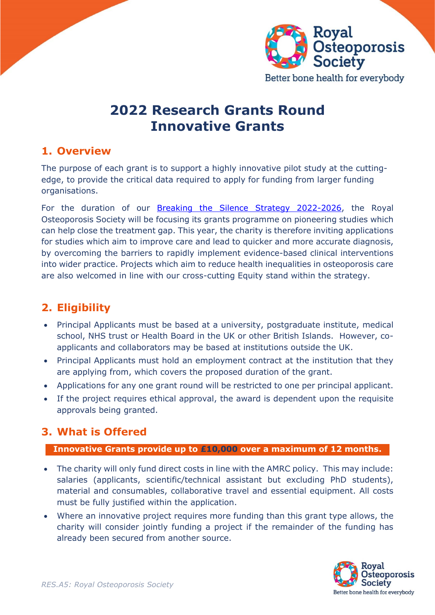

# **2022 Research Grants Round Innovative Grants**

### **1. Overview**

The purpose of each grant is to support a highly innovative pilot study at the cuttingedge, to provide the critical data required to apply for funding from larger funding organisations.

For the duration of our [Breaking the Silence Strategy 2022-2026,](https://theros.org.uk/latest-news/new-strategy-from-the-ros-intends-to-finally-break-the-silence-on-osteoporosis/) the Royal Osteoporosis Society will be focusing its grants programme on pioneering studies which can help close the treatment gap. This year, the charity is therefore inviting applications for studies which aim to improve care and lead to quicker and more accurate diagnosis, by overcoming the barriers to rapidly implement evidence-based clinical interventions into wider practice. Projects which aim to reduce health inequalities in osteoporosis care are also welcomed in line with our cross-cutting Equity stand within the strategy.

# **2. Eligibility**

- Principal Applicants must be based at a university, postgraduate institute, medical school, NHS trust or Health Board in the UK or other British Islands. However, coapplicants and collaborators may be based at institutions outside the UK.
- Principal Applicants must hold an employment contract at the institution that they are applying from, which covers the proposed duration of the grant.
- Applications for any one grant round will be restricted to one per principal applicant.
- If the project requires ethical approval, the award is dependent upon the requisite approvals being granted.

### **3. What is Offered**

#### **Innovative Grants provide up to £10,000 over a maximum of 12 months.**

- The charity will only fund direct costs in line with the AMRC policy. This may include: salaries (applicants, scientific/technical assistant but excluding PhD students), material and consumables, collaborative travel and essential equipment. All costs must be fully justified within the application.
- Where an innovative project requires more funding than this grant type allows, the charity will consider jointly funding a project if the remainder of the funding has already been secured from another source.